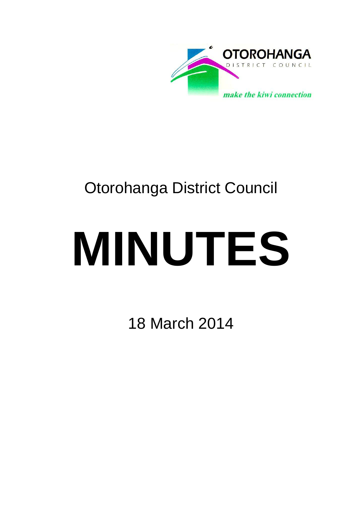

# Otorohanga District Council

# **MINUTES**

18 March 2014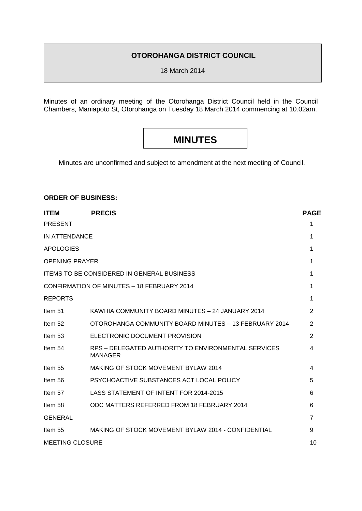# **OTOROHANGA DISTRICT COUNCIL**

18 March 2014

Minutes of an ordinary meeting of the Otorohanga District Council held in the Council Chambers, Maniapoto St, Otorohanga on Tuesday 18 March 2014 commencing at 10.02am.

# **MINUTES**

Minutes are unconfirmed and subject to amendment at the next meeting of Council.

# **ORDER OF BUSINESS:**

| <b>ITEM</b>                                | <b>PRECIS</b>                                                         | <b>PAGE</b>    |
|--------------------------------------------|-----------------------------------------------------------------------|----------------|
| <b>PRESENT</b>                             |                                                                       | 1              |
| IN ATTENDANCE                              |                                                                       | 1              |
| <b>APOLOGIES</b>                           |                                                                       | 1              |
| <b>OPENING PRAYER</b>                      |                                                                       | 1              |
|                                            | <b>ITEMS TO BE CONSIDERED IN GENERAL BUSINESS</b>                     | 1              |
| CONFIRMATION OF MINUTES - 18 FEBRUARY 2014 |                                                                       | 1              |
| <b>REPORTS</b>                             |                                                                       | 1              |
| Item 51                                    | KAWHIA COMMUNITY BOARD MINUTES - 24 JANUARY 2014                      | 2              |
| Item 52                                    | OTOROHANGA COMMUNITY BOARD MINUTES - 13 FEBRUARY 2014                 | 2              |
| Item 53                                    | ELECTRONIC DOCUMENT PROVISION                                         | 2              |
| Item 54                                    | RPS – DELEGATED AUTHORITY TO ENVIRONMENTAL SERVICES<br><b>MANAGER</b> | 4              |
| Item 55                                    | MAKING OF STOCK MOVEMENT BYLAW 2014                                   | 4              |
| Item 56                                    | PSYCHOACTIVE SUBSTANCES ACT LOCAL POLICY                              | 5              |
| Item 57                                    | LASS STATEMENT OF INTENT FOR 2014-2015                                | 6              |
| Item 58                                    | ODC MATTERS REFERRED FROM 18 FEBRUARY 2014                            | 6              |
| <b>GENERAL</b>                             |                                                                       | $\overline{7}$ |
| Item 55                                    | MAKING OF STOCK MOVEMENT BYLAW 2014 - CONFIDENTIAL                    | 9              |
| <b>MEETING CLOSURE</b>                     |                                                                       | 10             |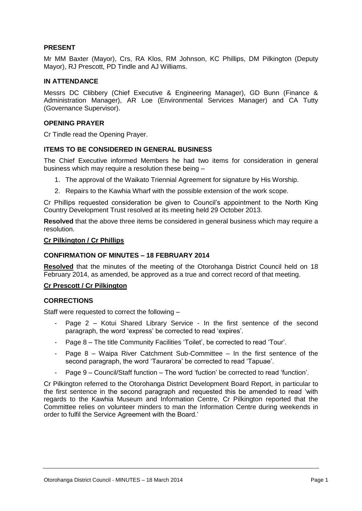# **PRESENT**

Mr MM Baxter (Mayor), Crs, RA Klos, RM Johnson, KC Phillips, DM Pilkington (Deputy Mayor), RJ Prescott, PD Tindle and AJ Williams.

#### **IN ATTENDANCE**

Messrs DC Clibbery (Chief Executive & Engineering Manager), GD Bunn (Finance & Administration Manager), AR Loe (Environmental Services Manager) and CA Tutty (Governance Supervisor).

#### **OPENING PRAYER**

Cr Tindle read the Opening Prayer.

# **ITEMS TO BE CONSIDERED IN GENERAL BUSINESS**

The Chief Executive informed Members he had two items for consideration in general business which may require a resolution these being –

- 1. The approval of the Waikato Triennial Agreement for signature by His Worship.
- 2. Repairs to the Kawhia Wharf with the possible extension of the work scope.

Cr Phillips requested consideration be given to Council's appointment to the North King Country Development Trust resolved at its meeting held 29 October 2013.

**Resolved** that the above three items be considered in general business which may require a resolution.

#### **Cr Pilkington / Cr Phillips**

#### **CONFIRMATION OF MINUTES – 18 FEBRUARY 2014**

**Resolved** that the minutes of the meeting of the Otorohanga District Council held on 18 February 2014, as amended, be approved as a true and correct record of that meeting.

#### **Cr Prescott / Cr Pilkington**

# **CORRECTIONS**

Staff were requested to correct the following –

- Page 2 Kotui Shared Library Service In the first sentence of the second paragraph, the word 'express' be corrected to read 'expires'.
- Page 8 The title Community Facilities 'Toilet', be corrected to read 'Tour'.
- Page 8 Waipa River Catchment Sub-Committee In the first sentence of the second paragraph, the word 'Taurarora' be corrected to read 'Tapuae'.
- Page 9 Council/Staff function The word 'fuction' be corrected to read 'function'.

Cr Pilkington referred to the Otorohanga District Development Board Report, in particular to the first sentence in the second paragraph and requested this be amended to read 'with regards to the Kawhia Museum and Information Centre, Cr Pilkington reported that the Committee relies on volunteer minders to man the Information Centre during weekends in order to fulfil the Service Agreement with the Board.'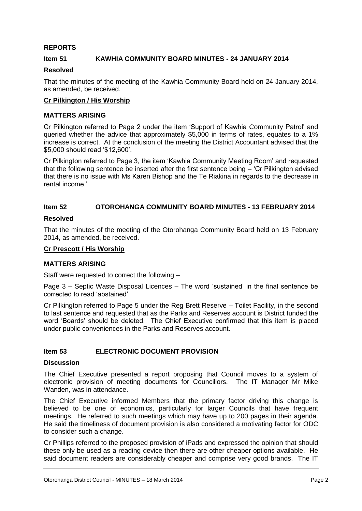# **REPORTS**

# **Item 51 KAWHIA COMMUNITY BOARD MINUTES - 24 JANUARY 2014**

#### **Resolved**

That the minutes of the meeting of the Kawhia Community Board held on 24 January 2014, as amended, be received.

#### **Cr Pilkington / His Worship**

#### **MATTERS ARISING**

Cr Pilkington referred to Page 2 under the item 'Support of Kawhia Community Patrol' and queried whether the advice that approximately \$5,000 in terms of rates, equates to a 1% increase is correct. At the conclusion of the meeting the District Accountant advised that the \$5,000 should read '\$12,600'.

Cr Pilkington referred to Page 3, the item 'Kawhia Community Meeting Room' and requested that the following sentence be inserted after the first sentence being – 'Cr Pilkington advised that there is no issue with Ms Karen Bishop and the Te Riakina in regards to the decrease in rental income.'

# **Item 52 OTOROHANGA COMMUNITY BOARD MINUTES - 13 FEBRUARY 2014**

#### **Resolved**

That the minutes of the meeting of the Otorohanga Community Board held on 13 February 2014, as amended, be received.

#### **Cr Prescott / His Worship**

#### **MATTERS ARISING**

Staff were requested to correct the following –

Page 3 – Septic Waste Disposal Licences – The word 'sustained' in the final sentence be corrected to read 'abstained'.

Cr Pilkington referred to Page 5 under the Reg Brett Reserve – Toilet Facility, in the second to last sentence and requested that as the Parks and Reserves account is District funded the word 'Boards' should be deleted. The Chief Executive confirmed that this item is placed under public conveniences in the Parks and Reserves account.

# **Item 53 ELECTRONIC DOCUMENT PROVISION**

#### **Discussion**

The Chief Executive presented a report proposing that Council moves to a system of electronic provision of meeting documents for Councillors. The IT Manager Mr Mike Wanden, was in attendance.

The Chief Executive informed Members that the primary factor driving this change is believed to be one of economics, particularly for larger Councils that have frequent meetings. He referred to such meetings which may have up to 200 pages in their agenda. He said the timeliness of document provision is also considered a motivating factor for ODC to consider such a change.

Cr Phillips referred to the proposed provision of iPads and expressed the opinion that should these only be used as a reading device then there are other cheaper options available. He said document readers are considerably cheaper and comprise very good brands. The IT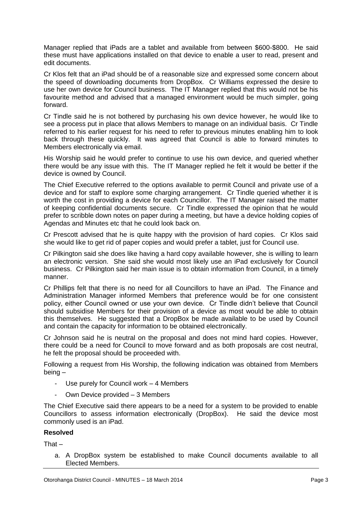Manager replied that iPads are a tablet and available from between \$600-\$800. He said these must have applications installed on that device to enable a user to read, present and edit documents.

Cr Klos felt that an iPad should be of a reasonable size and expressed some concern about the speed of downloading documents from DropBox. Cr Williams expressed the desire to use her own device for Council business. The IT Manager replied that this would not be his favourite method and advised that a managed environment would be much simpler, going forward.

Cr Tindle said he is not bothered by purchasing his own device however, he would like to see a process put in place that allows Members to manage on an individual basis. Cr Tindle referred to his earlier request for his need to refer to previous minutes enabling him to look back through these quickly. It was agreed that Council is able to forward minutes to Members electronically via email.

His Worship said he would prefer to continue to use his own device, and queried whether there would be any issue with this. The IT Manager replied he felt it would be better if the device is owned by Council.

The Chief Executive referred to the options available to permit Council and private use of a device and for staff to explore some charging arrangement. Cr Tindle queried whether it is worth the cost in providing a device for each Councillor. The IT Manager raised the matter of keeping confidential documents secure. Cr Tindle expressed the opinion that he would prefer to scribble down notes on paper during a meeting, but have a device holding copies of Agendas and Minutes etc that he could look back on.

Cr Prescott advised that he is quite happy with the provision of hard copies. Cr Klos said she would like to get rid of paper copies and would prefer a tablet, just for Council use.

Cr Pilkington said she does like having a hard copy available however, she is willing to learn an electronic version. She said she would most likely use an iPad exclusively for Council business. Cr Pilkington said her main issue is to obtain information from Council, in a timely manner.

Cr Phillips felt that there is no need for all Councillors to have an iPad. The Finance and Administration Manager informed Members that preference would be for one consistent policy, either Council owned or use your own device. Cr Tindle didn't believe that Council should subsidise Members for their provision of a device as most would be able to obtain this themselves. He suggested that a DropBox be made available to be used by Council and contain the capacity for information to be obtained electronically.

Cr Johnson said he is neutral on the proposal and does not mind hard copies. However, there could be a need for Council to move forward and as both proposals are cost neutral, he felt the proposal should be proceeded with.

Following a request from His Worship, the following indication was obtained from Members being –

- Use purely for Council work  $-4$  Members
- Own Device provided 3 Members

The Chief Executive said there appears to be a need for a system to be provided to enable Councillors to assess information electronically (DropBox). He said the device most commonly used is an iPad.

# **Resolved**

 $That -$ 

a. A DropBox system be established to make Council documents available to all Elected Members.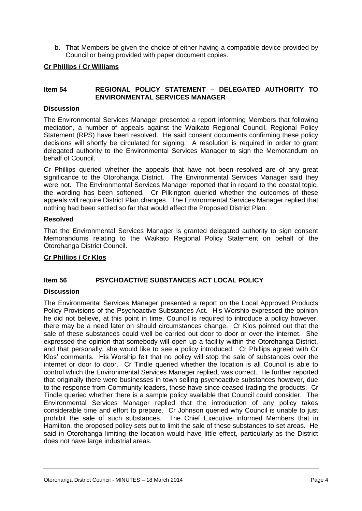b. That Members be given the choice of either having a compatible device provided by Council or being provided with paper document copies.

# **Cr Phillips / Cr Williams**

# **Item 54 REGIONAL POLICY STATEMENT – DELEGATED AUTHORITY TO ENVIRONMENTAL SERVICES MANAGER**

# **Discussion**

The Environmental Services Manager presented a report informing Members that following mediation, a number of appeals against the Waikato Regional Council, Regional Policy Statement (RPS) have been resolved. He said consent documents confirming these policy decisions will shortly be circulated for signing. A resolution is required in order to grant delegated authority to the Environmental Services Manager to sign the Memorandum on behalf of Council.

Cr Phillips queried whether the appeals that have not been resolved are of any great significance to the Otorohanga District. The Environmental Services Manager said they were not. The Environmental Services Manager reported that in regard to the coastal topic, the wording has been softened. Cr Pilkington queried whether the outcomes of these appeals will require District Plan changes. The Environmental Services Manager replied that nothing had been settled so far that would affect the Proposed District Plan.

#### **Resolved**

That the Environmental Services Manager is granted delegated authority to sign consent Memorandums relating to the Waikato Regional Policy Statement on behalf of the Otorohanga District Council.

# **Cr Phillips / Cr Klos**

# **Item 56 PSYCHOACTIVE SUBSTANCES ACT LOCAL POLICY**

# **Discussion**

The Environmental Services Manager presented a report on the Local Approved Products Policy Provisions of the Psychoactive Substances Act. His Worship expressed the opinion he did not believe, at this point in time, Council is required to introduce a policy however, there may be a need later on should circumstances change. Cr Klos pointed out that the sale of these substances could well be carried out door to door or over the internet. She expressed the opinion that somebody will open up a facility within the Otorohanga District, and that personally, she would like to see a policy introduced. Cr Phillips agreed with Cr Klos' comments. His Worship felt that no policy will stop the sale of substances over the internet or door to door. Cr Tindle queried whether the location is all Council is able to control which the Environmental Services Manager replied, was correct. He further reported that originally there were businesses in town selling psychoactive substances however, due to the response from Community leaders, these have since ceased trading the products. Cr Tindle queried whether there is a sample policy available that Council could consider. The Environmental Services Manager replied that the introduction of any policy takes considerable time and effort to prepare. Cr Johnson queried why Council is unable to just prohibit the sale of such substances. The Chief Executive informed Members that in Hamilton, the proposed policy sets out to limit the sale of these substances to set areas. He said in Otorohanga limiting the location would have little effect, particularly as the District does not have large industrial areas.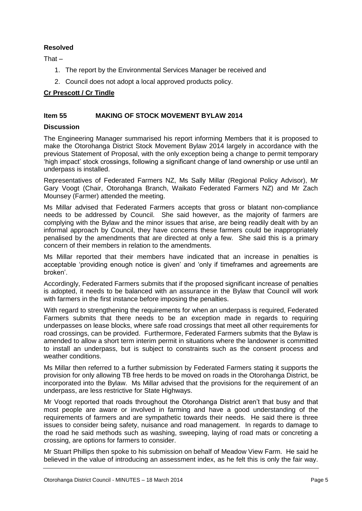# **Resolved**

That –

- 1. The report by the Environmental Services Manager be received and
- 2. Council does not adopt a local approved products policy.

# **Cr Prescott / Cr Tindle**

# **Item 55 MAKING OF STOCK MOVEMENT BYLAW 2014**

#### **Discussion**

The Engineering Manager summarised his report informing Members that it is proposed to make the Otorohanga District Stock Movement Bylaw 2014 largely in accordance with the previous Statement of Proposal, with the only exception being a change to permit temporary 'high impact' stock crossings, following a significant change of land ownership or use until an underpass is installed.

Representatives of Federated Farmers NZ, Ms Sally Millar (Regional Policy Advisor), Mr Gary Voogt (Chair, Otorohanga Branch, Waikato Federated Farmers NZ) and Mr Zach Mounsey (Farmer) attended the meeting.

Ms Millar advised that Federated Farmers accepts that gross or blatant non-compliance needs to be addressed by Council. She said however, as the majority of farmers are complying with the Bylaw and the minor issues that arise, are being readily dealt with by an informal approach by Council, they have concerns these farmers could be inappropriately penalised by the amendments that are directed at only a few. She said this is a primary concern of their members in relation to the amendments.

Ms Millar reported that their members have indicated that an increase in penalties is acceptable 'providing enough notice is given' and 'only if timeframes and agreements are broken'.

Accordingly, Federated Farmers submits that if the proposed significant increase of penalties is adopted, it needs to be balanced with an assurance in the Bylaw that Council will work with farmers in the first instance before imposing the penalties.

With regard to strengthening the requirements for when an underpass is required, Federated Farmers submits that there needs to be an exception made in regards to requiring underpasses on lease blocks, where safe road crossings that meet all other requirements for road crossings, can be provided. Furthermore, Federated Farmers submits that the Bylaw is amended to allow a short term interim permit in situations where the landowner is committed to install an underpass, but is subject to constraints such as the consent process and weather conditions.

Ms Millar then referred to a further submission by Federated Farmers stating it supports the provision for only allowing TB free herds to be moved on roads in the Otorohanga District, be incorporated into the Bylaw. Ms Millar advised that the provisions for the requirement of an underpass, are less restrictive for State Highways.

Mr Voogt reported that roads throughout the Otorohanga District aren't that busy and that most people are aware or involved in farming and have a good understanding of the requirements of farmers and are sympathetic towards their needs. He said there is three issues to consider being safety, nuisance and road management. In regards to damage to the road he said methods such as washing, sweeping, laying of road mats or concreting a crossing, are options for farmers to consider.

Mr Stuart Phillips then spoke to his submission on behalf of Meadow View Farm. He said he believed in the value of introducing an assessment index, as he felt this is only the fair way.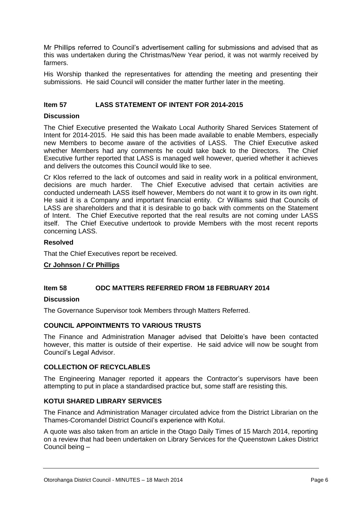Mr Phillips referred to Council's advertisement calling for submissions and advised that as this was undertaken during the Christmas/New Year period, it was not warmly received by farmers.

His Worship thanked the representatives for attending the meeting and presenting their submissions. He said Council will consider the matter further later in the meeting.

# **Item 57 LASS STATEMENT OF INTENT FOR 2014-2015**

#### **Discussion**

The Chief Executive presented the Waikato Local Authority Shared Services Statement of Intent for 2014-2015. He said this has been made available to enable Members, especially new Members to become aware of the activities of LASS. The Chief Executive asked whether Members had any comments he could take back to the Directors. The Chief Executive further reported that LASS is managed well however, queried whether it achieves and delivers the outcomes this Council would like to see.

Cr Klos referred to the lack of outcomes and said in reality work in a political environment, decisions are much harder. The Chief Executive advised that certain activities are conducted underneath LASS itself however, Members do not want it to grow in its own right. He said it is a Company and important financial entity. Cr Williams said that Councils of LASS are shareholders and that it is desirable to go back with comments on the Statement of Intent. The Chief Executive reported that the real results are not coming under LASS itself. The Chief Executive undertook to provide Members with the most recent reports concerning LASS.

#### **Resolved**

That the Chief Executives report be received.

#### **Cr Johnson / Cr Phillips**

#### **Item 58 ODC MATTERS REFERRED FROM 18 FEBRUARY 2014**

#### **Discussion**

The Governance Supervisor took Members through Matters Referred.

#### **COUNCIL APPOINTMENTS TO VARIOUS TRUSTS**

The Finance and Administration Manager advised that Deloitte's have been contacted however, this matter is outside of their expertise. He said advice will now be sought from Council's Legal Advisor.

#### **COLLECTION OF RECYCLABLES**

The Engineering Manager reported it appears the Contractor's supervisors have been attempting to put in place a standardised practice but, some staff are resisting this.

#### **KOTUI SHARED LIBRARY SERVICES**

The Finance and Administration Manager circulated advice from the District Librarian on the Thames-Coromandel District Council's experience with Kotui.

A quote was also taken from an article in the Otago Daily Times of 15 March 2014, reporting on a review that had been undertaken on Library Services for the Queenstown Lakes District Council being –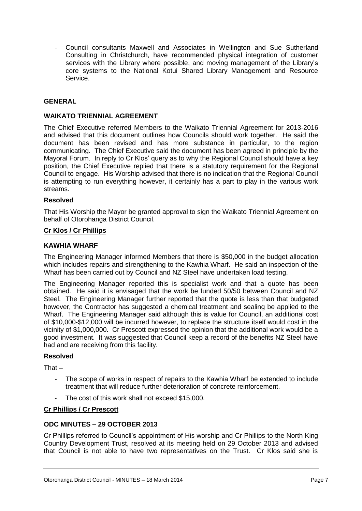- Council consultants Maxwell and Associates in Wellington and Sue Sutherland Consulting in Christchurch, have recommended physical integration of customer services with the Library where possible, and moving management of the Library's core systems to the National Kotui Shared Library Management and Resource Service.

# **GENERAL**

# **WAIKATO TRIENNIAL AGREEMENT**

The Chief Executive referred Members to the Waikato Triennial Agreement for 2013-2016 and advised that this document outlines how Councils should work together. He said the document has been revised and has more substance in particular, to the region communicating. The Chief Executive said the document has been agreed in principle by the Mayoral Forum. In reply to Cr Klos' query as to why the Regional Council should have a key position, the Chief Executive replied that there is a statutory requirement for the Regional Council to engage. His Worship advised that there is no indication that the Regional Council is attempting to run everything however, it certainly has a part to play in the various work streams.

#### **Resolved**

That His Worship the Mayor be granted approval to sign the Waikato Triennial Agreement on behalf of Otorohanga District Council.

#### **Cr Klos / Cr Phillips**

#### **KAWHIA WHARF**

The Engineering Manager informed Members that there is \$50,000 in the budget allocation which includes repairs and strengthening to the Kawhia Wharf. He said an inspection of the Wharf has been carried out by Council and NZ Steel have undertaken load testing.

The Engineering Manager reported this is specialist work and that a quote has been obtained. He said it is envisaged that the work be funded 50/50 between Council and NZ Steel. The Engineering Manager further reported that the quote is less than that budgeted however, the Contractor has suggested a chemical treatment and sealing be applied to the Wharf. The Engineering Manager said although this is value for Council, an additional cost of \$10,000-\$12,000 will be incurred however, to replace the structure itself would cost in the vicinity of \$1,000,000. Cr Prescott expressed the opinion that the additional work would be a good investment. It was suggested that Council keep a record of the benefits NZ Steel have had and are receiving from this facility.

#### **Resolved**

That $-$ 

- The scope of works in respect of repairs to the Kawhia Wharf be extended to include treatment that will reduce further deterioration of concrete reinforcement.
- The cost of this work shall not exceed \$15,000.

#### **Cr Phillips / Cr Prescott**

# **ODC MINUTES – 29 OCTOBER 2013**

Cr Phillips referred to Council's appointment of His worship and Cr Phillips to the North King Country Development Trust, resolved at its meeting held on 29 October 2013 and advised that Council is not able to have two representatives on the Trust. Cr Klos said she is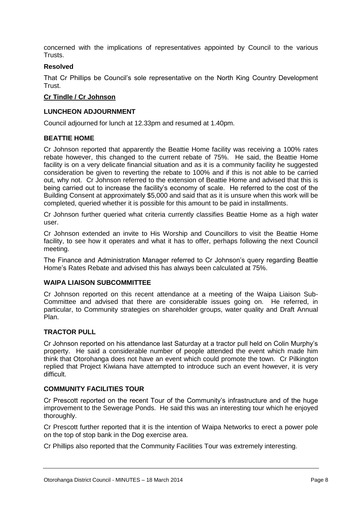concerned with the implications of representatives appointed by Council to the various **Trusts** 

# **Resolved**

That Cr Phillips be Council's sole representative on the North King Country Development Trust.

#### **Cr Tindle / Cr Johnson**

#### **LUNCHEON ADJOURNMENT**

Council adjourned for lunch at 12.33pm and resumed at 1.40pm.

#### **BEATTIE HOME**

Cr Johnson reported that apparently the Beattie Home facility was receiving a 100% rates rebate however, this changed to the current rebate of 75%. He said, the Beattie Home facility is on a very delicate financial situation and as it is a community facility he suggested consideration be given to reverting the rebate to 100% and if this is not able to be carried out, why not. Cr Johnson referred to the extension of Beattie Home and advised that this is being carried out to increase the facility's economy of scale. He referred to the cost of the Building Consent at approximately \$5,000 and said that as it is unsure when this work will be completed, queried whether it is possible for this amount to be paid in installments.

Cr Johnson further queried what criteria currently classifies Beattie Home as a high water user.

Cr Johnson extended an invite to His Worship and Councillors to visit the Beattie Home facility, to see how it operates and what it has to offer, perhaps following the next Council meeting.

The Finance and Administration Manager referred to Cr Johnson's query regarding Beattie Home's Rates Rebate and advised this has always been calculated at 75%.

#### **WAIPA LIAISON SUBCOMMITTEE**

Cr Johnson reported on this recent attendance at a meeting of the Waipa Liaison Sub-Committee and advised that there are considerable issues going on. He referred, in particular, to Community strategies on shareholder groups, water quality and Draft Annual Plan.

# **TRACTOR PULL**

Cr Johnson reported on his attendance last Saturday at a tractor pull held on Colin Murphy's property. He said a considerable number of people attended the event which made him think that Otorohanga does not have an event which could promote the town. Cr Pilkington replied that Project Kiwiana have attempted to introduce such an event however, it is very difficult.

#### **COMMUNITY FACILITIES TOUR**

Cr Prescott reported on the recent Tour of the Community's infrastructure and of the huge improvement to the Sewerage Ponds. He said this was an interesting tour which he enjoyed thoroughly.

Cr Prescott further reported that it is the intention of Waipa Networks to erect a power pole on the top of stop bank in the Dog exercise area.

Cr Phillips also reported that the Community Facilities Tour was extremely interesting.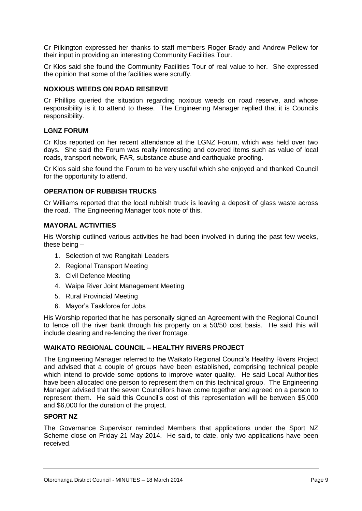Cr Pilkington expressed her thanks to staff members Roger Brady and Andrew Pellew for their input in providing an interesting Community Facilities Tour.

Cr Klos said she found the Community Facilities Tour of real value to her. She expressed the opinion that some of the facilities were scruffy.

#### **NOXIOUS WEEDS ON ROAD RESERVE**

Cr Phillips queried the situation regarding noxious weeds on road reserve, and whose responsibility is it to attend to these. The Engineering Manager replied that it is Councils responsibility.

#### **LGNZ FORUM**

Cr Klos reported on her recent attendance at the LGNZ Forum, which was held over two days. She said the Forum was really interesting and covered items such as value of local roads, transport network, FAR, substance abuse and earthquake proofing.

Cr Klos said she found the Forum to be very useful which she enjoyed and thanked Council for the opportunity to attend.

#### **OPERATION OF RUBBISH TRUCKS**

Cr Williams reported that the local rubbish truck is leaving a deposit of glass waste across the road. The Engineering Manager took note of this.

# **MAYORAL ACTIVITIES**

His Worship outlined various activities he had been involved in during the past few weeks, these being –

- 1. Selection of two Rangitahi Leaders
- 2. Regional Transport Meeting
- 3. Civil Defence Meeting
- 4. Waipa River Joint Management Meeting
- 5. Rural Provincial Meeting
- 6. Mayor's Taskforce for Jobs

His Worship reported that he has personally signed an Agreement with the Regional Council to fence off the river bank through his property on a 50/50 cost basis. He said this will include clearing and re-fencing the river frontage.

#### **WAIKATO REGIONAL COUNCIL – HEALTHY RIVERS PROJECT**

The Engineering Manager referred to the Waikato Regional Council's Healthy Rivers Project and advised that a couple of groups have been established, comprising technical people which intend to provide some options to improve water quality. He said Local Authorities have been allocated one person to represent them on this technical group. The Engineering Manager advised that the seven Councillors have come together and agreed on a person to represent them. He said this Council's cost of this representation will be between \$5,000 and \$6,000 for the duration of the project.

# **SPORT NZ**

The Governance Supervisor reminded Members that applications under the Sport NZ Scheme close on Friday 21 May 2014. He said, to date, only two applications have been received.